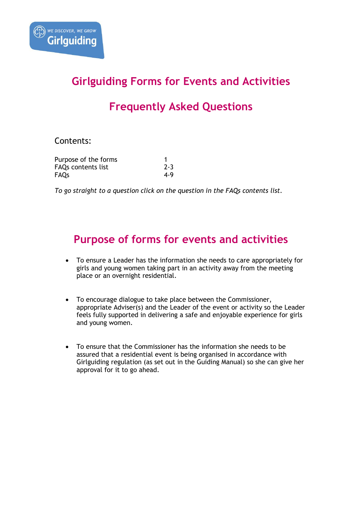# **Girlguiding Forms for Events and Activities**

# **Frequently Asked Questions**

### Contents:

| Purpose of the forms      |         |
|---------------------------|---------|
| <b>FAQs contents list</b> | $2 - 3$ |
| FAQs                      | 4-9     |

*To go straight to a question click on the question in the FAQs contents list.*

## **Purpose of forms for events and activities**

- To ensure a Leader has the information she needs to care appropriately for girls and young women taking part in an activity away from the meeting place or an overnight residential.
- To encourage dialogue to take place between the Commissioner, appropriate Adviser(s) and the Leader of the event or activity so the Leader feels fully supported in delivering a safe and enjoyable experience for girls and young women.
- To ensure that the Commissioner has the information she needs to be assured that a residential event is being organised in accordance with Girlguiding regulation (as set out in the Guiding Manual) so she can give her approval for it to go ahead.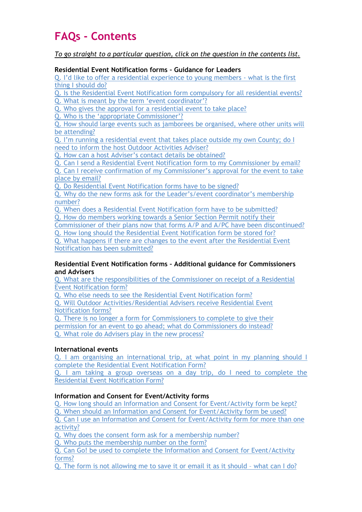# **FAQs - Contents**

*To go straight to a particular question, click on the question in the contents list.*

#### **Residential Event Notification forms – Guidance for Leaders**

[Q. I'd like to offer a residential experience to young members](#page-3-0) - what is the first [thing I should do?](#page-3-0)

Q. [Is the Residential Event Notification form compulsory for all residential events?](#page-3-1) [Q. What is meant by the term 'event coordinator'?](#page-7-0)

[Q. Who gives the approval for a residential event to take place?](#page-3-2)

[Q. Who is the 'appropriate Commissioner'?](#page-3-3)

[Q. How should large events such as jamborees be organised, where other units will](#page-4-0)  [be attending?](#page-4-0)

[Q. I'm running a residential event that takes place o](#page-4-1)utside my own County; do I [need to inform the host Outdoor Activities Adviser?](#page-4-1)

[Q. How can a host Adviser's contact details be obtained?](#page-4-2)

[Q. Can I send a Residential Event Notification form to my Commissioner by email?](#page-4-3)

[Q. Can I receive confirmation of my Commissioner's approval for the event to take](#page-4-4)  [place by email?](#page-4-4)

[Q. Do Residential Event Notification forms have to be signed?](#page-4-5)

[Q. Why do the new forms ask for the](#page-4-6) Leader's/event coordinator's membership [number?](#page-4-6)

[Q. When does a Residential Event Notification form have to be submitted?](#page-4-7)

[Q. How do members working towards a Senior Section Permit notify their](#page-4-8) 

[Commissioner of their plans now that forms A/P and A/PC have been discontinued?](#page-4-8) [Q. How long should the Residential Event Notification form be stored for?](#page-5-0)

[Q. What happens if there are changes to the event after the Residential Event](#page-5-1)  [Notification has been submitted?](#page-5-1)

#### **Residential Event Notification forms – Additional guidance for Commissioners and Advisers**

[Q. What are the responsibilities of the Commissioner on receipt of a Residential](#page-5-2)  [Event Notification form?](#page-5-2)

[Q. Who else needs to see the Residential Event Notification form?](#page-5-3)

[Q. Will Outdoor Activities/Residential Advisers receive Residential Event](#page-6-0)  [Notification forms?](#page-6-0)

[Q. There is no longer a form for Commissioners to complete to give their](#page-6-1)  [permission for an event to go ahead; what do Commissioners do instead?](#page-6-1) [Q. What role do Advisers play in the new process?](#page-6-2)

### **International events**

[Q. I am organising an international trip, at what point in my planning should I](#page-6-3)  [complete the Residential Event Notification Form?](#page-6-3)

[Q. I am taking a group overseas on a day trip, do I need to complete the](#page-6-4)  [Residential Event Notification Form?](#page-6-4)

### **Information and Consent for Event/Activity forms**

[Q. How long should an Information and Consent for Event/Activity form be kept?](#page-7-1)

[Q. When should an Information and Consent](#page-7-2) for Event/Activity form be used?

[Q. Can I use an Information and Consent for Event/Activity form for more than one](#page-7-2)  [activity?](#page-7-2)

[Q. Why does the consent form ask for a membership](#page-7-3) number?

[Q. Who puts the membership number on the form?](#page-7-4)

[Q. Can Go! be used to complete the Information and Consent for Event/Activity](#page-7-0)  [forms?](#page-7-0)

[Q. The form is not allowing me to save it or email it as it should](#page-7-5) – what can I do?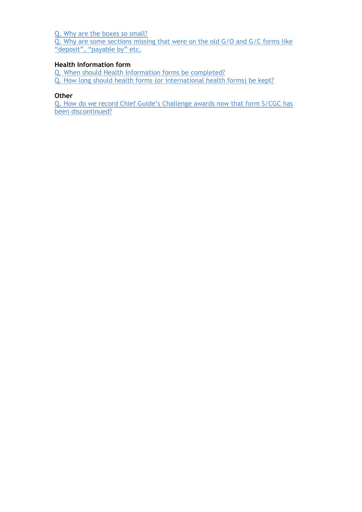[Q. Why are the boxes so small?](#page-8-0)

[Q. Why are some sections missing that were on the old G/O and G/C forms like](#page-8-1)  ["deposit", "payable by" etc.](#page-8-1)

### **Health Information form**

[Q. When should Health Information forms be completed?](#page-9-0)

[Q. How long should health forms \(or international health forms\) be kept?](#page-9-1)

#### **Other**

[Q. How do we record Chief Guide's Challenge awards now that form S/CGC has](#page-9-2)  [been discontinued?](#page-9-2)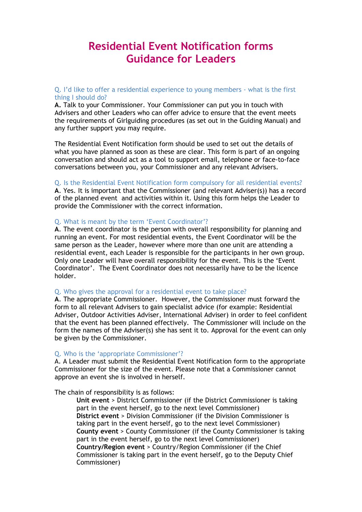## **Residential Event Notification forms Guidance for Leaders**

#### <span id="page-3-0"></span>Q. I'd like to offer a residential experience to young members - what is the first thing I should do?

**A.** Talk to your Commissioner. Your Commissioner can put you in touch with Advisers and other Leaders who can offer advice to ensure that the event meets the requirements of Girlguiding procedures (as set out in the Guiding Manual) and any further support you may require.

The Residential Event Notification form should be used to set out the details of what you have planned as soon as these are clear. This form is part of an ongoing conversation and should act as a tool to support email, telephone or face-to-face conversations between you, your Commissioner and any relevant Advisers.

#### <span id="page-3-1"></span>Q. Is the Residential Event Notification form compulsory for all residential events?

**A**. Yes. It is important that the Commissioner (and relevant Adviser(s)) has a record of the planned event and activities within it. Using this form helps the Leader to provide the Commissioner with the correct information.

#### Q. What is meant by the term 'Event Coordinator'?

**A**. The event coordinator is the person with overall responsibility for planning and running an event. For most residential events, the Event Coordinator will be the same person as the Leader, however where more than one unit are attending a residential event, each Leader is responsible for the participants in her own group. Only one Leader will have overall responsibility for the event. This is the 'Event Coordinator'. The Event Coordinator does not necessarily have to be the licence holder.

#### <span id="page-3-2"></span>Q. Who gives the approval for a residential event to take place?

**A**. The appropriate Commissioner. However, the Commissioner must forward the form to all relevant Advisers to gain specialist advice (for example: Residential Adviser, Outdoor Activities Adviser, International Adviser) in order to feel confident that the event has been planned effectively. The Commissioner will include on the form the names of the Adviser(s) she has sent it to. Approval for the event can only be given by the Commissioner.

#### <span id="page-3-3"></span>Q. Who is the 'appropriate Commissioner'?

A. A Leader must submit the Residential Event Notification form to the appropriate Commissioner for the size of the event. Please note that a Commissioner cannot approve an event she is involved in herself.

The chain of responsibility is as follows:

**Unit event** > District Commissioner (if the District Commissioner is taking part in the event herself, go to the next level Commissioner) **District event** > Division Commissioner (if the Division Commissioner is taking part in the event herself, go to the next level Commissioner) **County event** > County Commissioner (if the County Commissioner is taking part in the event herself, go to the next level Commissioner) **Country/Region event** > Country/Region Commissioner (if the Chief Commissioner is taking part in the event herself, go to the Deputy Chief Commissioner)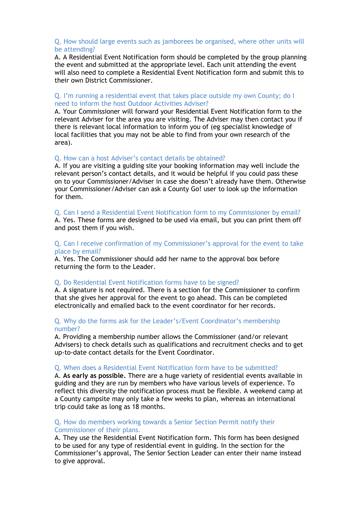#### <span id="page-4-0"></span>Q. How should large events such as jamborees be organised, where other units will be attending?

A. A Residential Event Notification form should be completed by the group planning the event and submitted at the appropriate level. Each unit attending the event will also need to complete a Residential Event Notification form and submit this to their own District Commissioner.

#### <span id="page-4-1"></span>Q. I'm running a residential event that takes place outside my own County; do I need to inform the host Outdoor Activities Adviser?

A. Your Commissioner will forward your Residential Event Notification form to the relevant Adviser for the area you are visiting. The Adviser may then contact you if there is relevant local information to inform you of (eg specialist knowledge of local facilities that you may not be able to find from your own research of the area).

#### <span id="page-4-2"></span>Q. How can a host Adviser's contact details be obtained?

A. If you are visiting a guiding site your booking information may well include the relevant person's contact details, and it would be helpful if you could pass these on to your Commissioner/Adviser in case she doesn't already have them. Otherwise your Commissioner/Adviser can ask a County Go! user to look up the information for them.

#### <span id="page-4-3"></span>Q. Can I send a Residential Event Notification form to my Commissioner by email?

A. Yes. These forms are designed to be used via email, but you can print them off and post them if you wish.

#### <span id="page-4-4"></span>Q. Can I receive confirmation of my Commissioner's approval for the event to take place by email?

A. Yes. The Commissioner should add her name to the approval box before returning the form to the Leader.

#### <span id="page-4-5"></span>Q. Do Residential Event Notification forms have to be signed?

A. A signature is not required. There is a section for the Commissioner to confirm that she gives her approval for the event to go ahead. This can be completed electronically and emailed back to the event coordinator for her records.

#### <span id="page-4-6"></span>Q. Why do the forms ask for the Leader's/Event Coordinator's membership number?

A. Providing a membership number allows the Commissioner (and/or relevant Advisers) to check details such as qualifications and recruitment checks and to get up-to-date contact details for the Event Coordinator.

#### <span id="page-4-7"></span>Q. When does a Residential Event Notification form have to be submitted?

A. **As early as possible.** There are a huge variety of residential events available in guiding and they are run by members who have various levels of experience. To reflect this diversity the notification process must be flexible. A weekend camp at a County campsite may only take a few weeks to plan, whereas an international trip could take as long as 18 months.

#### <span id="page-4-8"></span>Q. How do members working towards a Senior Section Permit notify their Commissioner of their plans.

A. They use the Residential Event Notification form. This form has been designed to be used for any type of residential event in guiding. In the section for the Commissioner's approval, The Senior Section Leader can enter their name instead to give approval.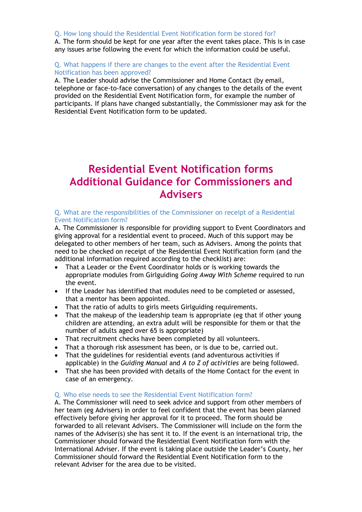#### <span id="page-5-0"></span>Q. How long should the Residential Event Notification form be stored for?

A. The form should be kept for one year after the event takes place. This is in case any issues arise following the event for which the information could be useful.

#### <span id="page-5-1"></span>Q. What happens if there are changes to the event after the Residential Event Notification has been approved?

A. The Leader should advise the Commissioner and Home Contact (by email, telephone or face-to-face conversation) of any changes to the details of the event provided on the Residential Event Notification form, for example the number of participants. If plans have changed substantially, the Commissioner may ask for the Residential Event Notification form to be updated.

## **Residential Event Notification forms Additional Guidance for Commissioners and Advisers**

#### <span id="page-5-2"></span>Q. What are the responsibilities of the Commissioner on receipt of a Residential Event Notification form?

A. The Commissioner is responsible for providing support to Event Coordinators and giving approval for a residential event to proceed. Much of this support may be delegated to other members of her team, such as Advisers. Among the points that need to be checked on receipt of the Residential Event Notification form (and the additional information required according to the checklist) are:

- That a Leader or the Event Coordinator holds or is working towards the appropriate modules from Girlguiding *Going Away With Scheme* required to run the event.
- If the Leader has identified that modules need to be completed or assessed, that a mentor has been appointed.
- That the ratio of adults to girls meets Girlguiding requirements.
- That the makeup of the leadership team is appropriate (eg that if other young children are attending, an extra adult will be responsible for them or that the number of adults aged over 65 is appropriate)
- That recruitment checks have been completed by all volunteers.
- That a thorough risk assessment has been, or is due to be, carried out.
- That the guidelines for residential events (and adventurous activities if applicable) in the *Guiding Manual* and *A to Z of activities* are being followed.
- That she has been provided with details of the Home Contact for the event in case of an emergency.

#### <span id="page-5-3"></span>Q. Who else needs to see the Residential Event Notification form?

A. The Commissioner will need to seek advice and support from other members of her team (eg Advisers) in order to feel confident that the event has been planned effectively before giving her approval for it to proceed. The form should be forwarded to all relevant Advisers. The Commissioner will include on the form the names of the Adviser(s) she has sent it to. If the event is an international trip, the Commissioner should forward the Residential Event Notification form with the International Adviser. If the event is taking place outside the Leader's County, her Commissioner should forward the Residential Event Notification form to the relevant Adviser for the area due to be visited.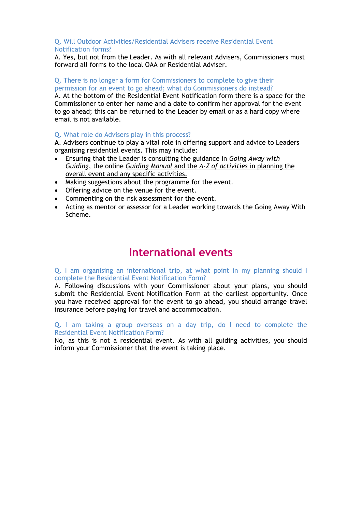#### <span id="page-6-0"></span>Q. Will Outdoor Activities/Residential Advisers receive Residential Event Notification forms?

A. Yes, but not from the Leader. As with all relevant Advisers, Commissioners must forward all forms to the local OAA or Residential Adviser.

#### <span id="page-6-1"></span>Q. There is no longer a form for Commissioners to complete to give their permission for an event to go ahead; what do Commissioners do instead?

A. At the bottom of the Residential Event Notification form there is a space for the Commissioner to enter her name and a date to confirm her approval for the event to go ahead; this can be returned to the Leader by email or as a hard copy where email is not available.

#### <span id="page-6-2"></span>Q. What role do Advisers play in this process?

**A**. Advisers continue to play a vital role in offering support and advice to Leaders organising residential events. This may include:

- Ensuring that the Leader is consulting the guidance in *Going Away with Guiding*, the online *Guiding Manual* and the *A-Z of activities* in planning the overall event and any specific activities.
- Making suggestions about the programme for the event.
- Offering advice on the venue for the event.
- Commenting on the risk assessment for the event.
- Acting as mentor or assessor for a Leader working towards the Going Away With Scheme.

### **International events**

#### <span id="page-6-3"></span>Q. I am organising an international trip, at what point in my planning should I complete the Residential Event Notification Form?

A. Following discussions with your Commissioner about your plans, you should submit the Residential Event Notification Form at the earliest opportunity. Once you have received approval for the event to go ahead, you should arrange travel insurance before paying for travel and accommodation.

#### <span id="page-6-4"></span>Q. I am taking a group overseas on a day trip, do I need to complete the Residential Event Notification Form?

No, as this is not a residential event. As with all guiding activities, you should inform your Commissioner that the event is taking place.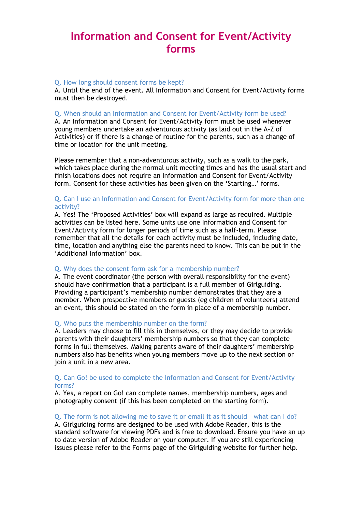## **Information and Consent for Event/Activity forms**

#### <span id="page-7-1"></span>Q. How long should consent forms be kept?

A. Until the end of the event. All Information and Consent for Event/Activity forms must then be destroyed.

#### <span id="page-7-2"></span>Q. When should an Information and Consent for Event/Activity form be used?

A. An Information and Consent for Event/Activity form must be used whenever young members undertake an adventurous activity (as laid out in the A-Z of Activities) or if there is a change of routine for the parents, such as a change of time or location for the unit meeting.

Please remember that a non-adventurous activity, such as a walk to the park, which takes place during the normal unit meeting times and has the usual start and finish locations does not require an Information and Consent for Event/Activity form. Consent for these activities has been given on the 'Starting…' forms.

#### Q. Can I use an Information and Consent for Event/Activity form for more than one activity?

A. Yes! The 'Proposed Activities' box will expand as large as required. Multiple activities can be listed here. Some units use one Information and Consent for Event/Activity form for longer periods of time such as a half-term. Please remember that all the details for each activity must be included, including date, time, location and anything else the parents need to know. This can be put in the 'Additional Information' box.

#### <span id="page-7-3"></span>Q. Why does the consent form ask for a membership number?

A. The event coordinator (the person with overall responsibility for the event) should have confirmation that a participant is a full member of Girlguiding. Providing a participant's membership number demonstrates that they are a member. When prospective members or guests (eg children of volunteers) attend an event, this should be stated on the form in place of a membership number.

#### <span id="page-7-4"></span>Q. Who puts the membership number on the form?

A. Leaders may choose to fill this in themselves, or they may decide to provide parents with their daughters' membership numbers so that they can complete forms in full themselves. Making parents aware of their daughters' membership numbers also has benefits when young members move up to the next section or join a unit in a new area.

#### <span id="page-7-0"></span>Q. Can Go! be used to complete the Information and Consent for Event/Activity forms?

A. Yes, a report on Go! can complete names, membership numbers, ages and photography consent (if this has been completed on the starting form).

#### <span id="page-7-5"></span>Q. The form is not allowing me to save it or email it as it should – what can I do?

A. Girlguiding forms are designed to be used with Adobe Reader, this is the standard software for viewing PDFs and is free to download. Ensure you have an up to date version of Adobe Reader on your computer. If you are still experiencing issues please refer to the Forms page of the Girlguiding website for further help.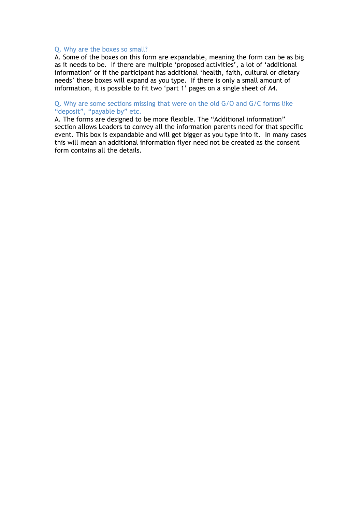#### <span id="page-8-0"></span>Q. Why are the boxes so small?

A. Some of the boxes on this form are expandable, meaning the form can be as big as it needs to be. If there are multiple 'proposed activities', a lot of 'additional information' or if the participant has additional 'health, faith, cultural or dietary needs' these boxes will expand as you type. If there is only a small amount of information, it is possible to fit two 'part 1' pages on a single sheet of A4.

#### <span id="page-8-1"></span>Q. Why are some sections missing that were on the old G/O and G/C forms like "deposit", "payable by" etc.

A. The forms are designed to be more flexible. The "Additional information" section allows Leaders to convey all the information parents need for that specific event. This box is expandable and will get bigger as you type into it. In many cases this will mean an additional information flyer need not be created as the consent form contains all the details.